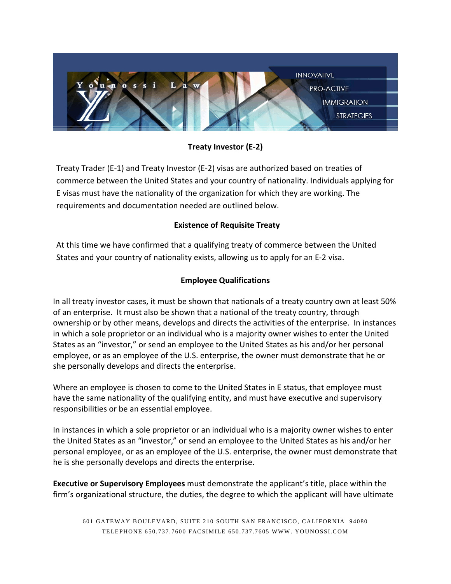

**Treaty Investor (E-2)**

Treaty Trader (E-1) and Treaty Investor (E-2) visas are authorized based on treaties of commerce between the United States and your country of nationality. Individuals applying for E visas must have the nationality of the organization for which they are working. The requirements and documentation needed are outlined below.

# **Existence of Requisite Treaty**

At this time we have confirmed that a qualifying treaty of commerce between the United States and your country of nationality exists, allowing us to apply for an E-2 visa.

## **Employee Qualifications**

In all treaty investor cases, it must be shown that nationals of a treaty country own at least 50% of an enterprise. It must also be shown that a national of the treaty country, through ownership or by other means, develops and directs the activities of the enterprise. In instances in which a sole proprietor or an individual who is a majority owner wishes to enter the United States as an "investor," or send an employee to the United States as his and/or her personal employee, or as an employee of the U.S. enterprise, the owner must demonstrate that he or she personally develops and directs the enterprise.

Where an employee is chosen to come to the United States in E status, that employee must have the same nationality of the qualifying entity, and must have executive and supervisory responsibilities or be an essential employee.

In instances in which a sole proprietor or an individual who is a majority owner wishes to enter the United States as an "investor," or send an employee to the United States as his and/or her personal employee, or as an employee of the U.S. enterprise, the owner must demonstrate that he is she personally develops and directs the enterprise.

**Executive or Supervisory Employees** must demonstrate the applicant's title, place within the firm's organizational structure, the duties, the degree to which the applicant will have ultimate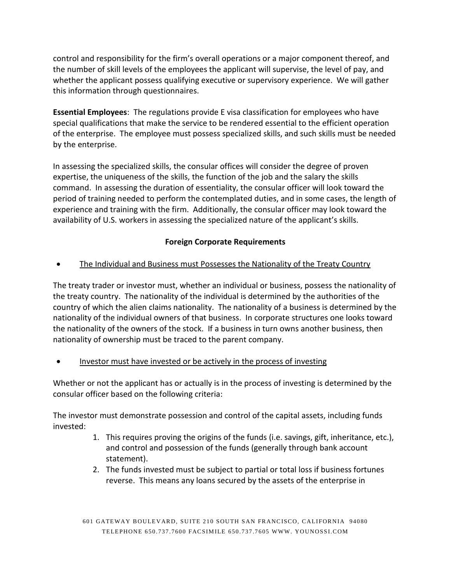control and responsibility for the firm's overall operations or a major component thereof, and the number of skill levels of the employees the applicant will supervise, the level of pay, and whether the applicant possess qualifying executive or supervisory experience. We will gather this information through questionnaires.

**Essential Employees**: The regulations provide E visa classification for employees who have special qualifications that make the service to be rendered essential to the efficient operation of the enterprise. The employee must possess specialized skills, and such skills must be needed by the enterprise.

In assessing the specialized skills, the consular offices will consider the degree of proven expertise, the uniqueness of the skills, the function of the job and the salary the skills command. In assessing the duration of essentiality, the consular officer will look toward the period of training needed to perform the contemplated duties, and in some cases, the length of experience and training with the firm. Additionally, the consular officer may look toward the availability of U.S. workers in assessing the specialized nature of the applicant's skills.

#### **Foreign Corporate Requirements**

• The Individual and Business must Possesses the Nationality of the Treaty Country

The treaty trader or investor must, whether an individual or business, possess the nationality of the treaty country. The nationality of the individual is determined by the authorities of the country of which the alien claims nationality. The nationality of a business is determined by the nationality of the individual owners of that business. In corporate structures one looks toward the nationality of the owners of the stock. If a business in turn owns another business, then nationality of ownership must be traced to the parent company.

• Investor must have invested or be actively in the process of investing

Whether or not the applicant has or actually is in the process of investing is determined by the consular officer based on the following criteria:

The investor must demonstrate possession and control of the capital assets, including funds invested:

- 1. This requires proving the origins of the funds (i.e. savings, gift, inheritance, etc.), and control and possession of the funds (generally through bank account statement).
- 2. The funds invested must be subject to partial or total loss if business fortunes reverse. This means any loans secured by the assets of the enterprise in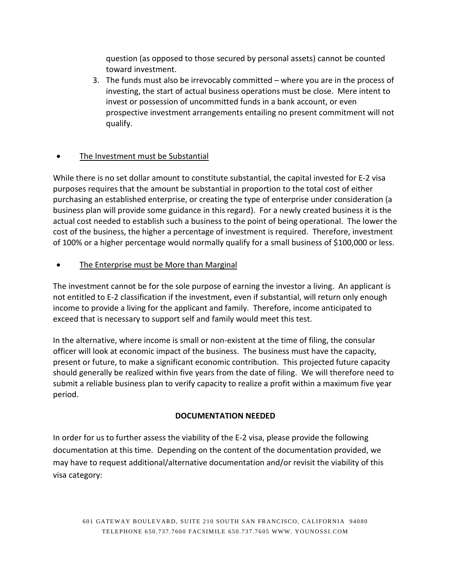question (as opposed to those secured by personal assets) cannot be counted toward investment.

3. The funds must also be irrevocably committed – where you are in the process of investing, the start of actual business operations must be close. Mere intent to invest or possession of uncommitted funds in a bank account, or even prospective investment arrangements entailing no present commitment will not qualify.

## The Investment must be Substantial

While there is no set dollar amount to constitute substantial, the capital invested for E-2 visa purposes requires that the amount be substantial in proportion to the total cost of either purchasing an established enterprise, or creating the type of enterprise under consideration (a business plan will provide some guidance in this regard). For a newly created business it is the actual cost needed to establish such a business to the point of being operational. The lower the cost of the business, the higher a percentage of investment is required. Therefore, investment of 100% or a higher percentage would normally qualify for a small business of \$100,000 or less.

• The Enterprise must be More than Marginal

The investment cannot be for the sole purpose of earning the investor a living. An applicant is not entitled to E-2 classification if the investment, even if substantial, will return only enough income to provide a living for the applicant and family. Therefore, income anticipated to exceed that is necessary to support self and family would meet this test.

In the alternative, where income is small or non-existent at the time of filing, the consular officer will look at economic impact of the business. The business must have the capacity, present or future, to make a significant economic contribution. This projected future capacity should generally be realized within five years from the date of filing. We will therefore need to submit a reliable business plan to verify capacity to realize a profit within a maximum five year period.

## **DOCUMENTATION NEEDED**

In order for us to further assess the viability of the E-2 visa, please provide the following documentation at this time. Depending on the content of the documentation provided, we may have to request additional/alternative documentation and/or revisit the viability of this visa category: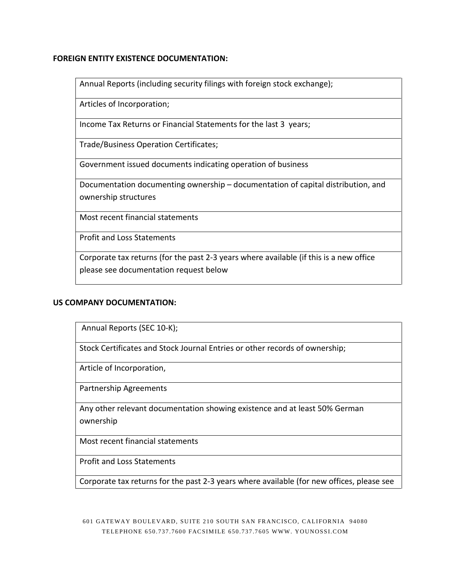#### **FOREIGN ENTITY EXISTENCE DOCUMENTATION:**

Annual Reports (including security filings with foreign stock exchange);

Articles of Incorporation;

Income Tax Returns or Financial Statements for the last 3 years;

Trade/Business Operation Certificates;

Government issued documents indicating operation of business

Documentation documenting ownership – documentation of capital distribution, and ownership structures

Most recent financial statements

Profit and Loss Statements

Corporate tax returns (for the past 2-3 years where available (if this is a new office please see documentation request below

#### **US COMPANY DOCUMENTATION:**

Annual Reports (SEC 10-K);

Stock Certificates and Stock Journal Entries or other records of ownership;

Article of Incorporation,

Partnership Agreements

Any other relevant documentation showing existence and at least 50% German ownership

Most recent financial statements

Profit and Loss Statements

Corporate tax returns for the past 2-3 years where available (for new offices, please see

601 GATEWAY BOULEVARD, SUITE 2 10 SOUTH SAN FRANCISCO, CALIFORNIA 94080 TELEPHONE 650.737.7600 FACSIMILE 650.737 .7605 WWW. YOUNOSSI.COM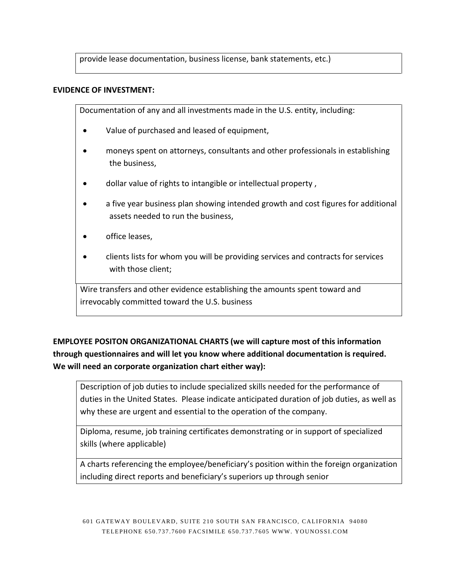provide lease documentation, business license, bank statements, etc.)

#### **EVIDENCE OF INVESTMENT:**

Documentation of any and all investments made in the U.S. entity, including:

- Value of purchased and leased of equipment,
- moneys spent on attorneys, consultants and other professionals in establishing the business,
- dollar value of rights to intangible or intellectual property,
- a five year business plan showing intended growth and cost figures for additional assets needed to run the business,
- office leases,
- clients lists for whom you will be providing services and contracts for services with those client;

Wire transfers and other evidence establishing the amounts spent toward and irrevocably committed toward the U.S. business

**EMPLOYEE POSITON ORGANIZATIONAL CHARTS (we will capture most of this information through questionnaires and will let you know where additional documentation is required. We will need an corporate organization chart either way):**

Description of job duties to include specialized skills needed for the performance of duties in the United States. Please indicate anticipated duration of job duties, as well as why these are urgent and essential to the operation of the company.

Diploma, resume, job training certificates demonstrating or in support of specialized skills (where applicable)

A charts referencing the employee/beneficiary's position within the foreign organization including direct reports and beneficiary's superiors up through senior